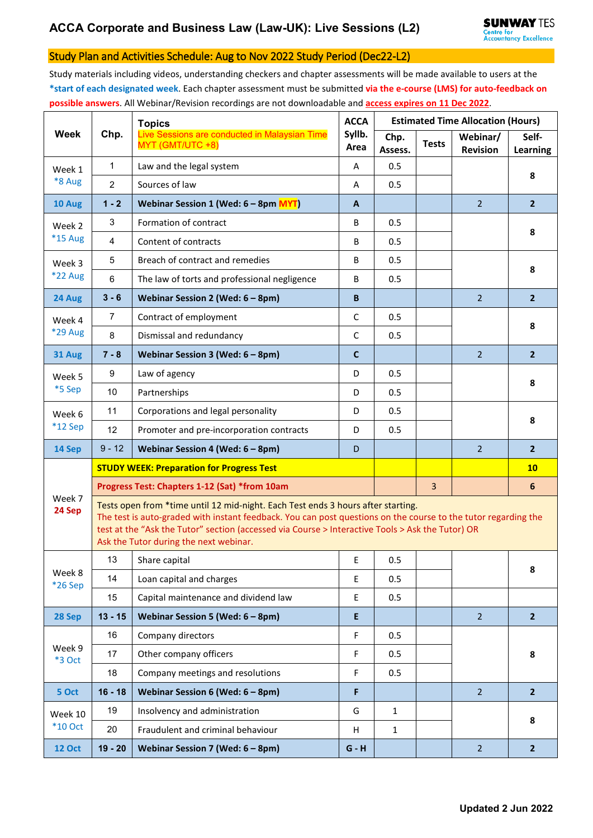## Study Plan and Activities Schedule: Aug to Nov 2022 Study Period (Dec22-L2)

Study materials including videos, understanding checkers and chapter assessments will be made available to users at the **\*start of each designated week**. Each chapter assessment must be submitted **via the e-course (LMS) for auto-feedback on possible answers**. All Webinar/Revision recordings are not downloadable and **access expires on 11 Dec 2022**.

| Week                 | Chp.                                                                                                                                                                                                                                                                                                                                             | <b>Topics</b><br>Live Sessions are conducted in Malaysian Time<br>MYT (GMT/UTC +8) | <b>ACCA</b><br>Syllb.<br>Area | <b>Estimated Time Allocation (Hours)</b> |                |                             |                   |  |  |
|----------------------|--------------------------------------------------------------------------------------------------------------------------------------------------------------------------------------------------------------------------------------------------------------------------------------------------------------------------------------------------|------------------------------------------------------------------------------------|-------------------------------|------------------------------------------|----------------|-----------------------------|-------------------|--|--|
|                      |                                                                                                                                                                                                                                                                                                                                                  |                                                                                    |                               | Chp.<br>Assess.                          | <b>Tests</b>   | Webinar/<br><b>Revision</b> | Self-<br>Learning |  |  |
| Week 1<br>*8 Aug     | $\mathbf{1}$                                                                                                                                                                                                                                                                                                                                     | Law and the legal system                                                           | Α                             | 0.5                                      |                |                             | 8                 |  |  |
|                      | $\overline{2}$                                                                                                                                                                                                                                                                                                                                   | Sources of law                                                                     | A                             | 0.5                                      |                |                             |                   |  |  |
| 10 Aug               | $1 - 2$                                                                                                                                                                                                                                                                                                                                          | Webinar Session 1 (Wed: 6 - 8pm MYT)                                               | A                             |                                          |                | $\overline{2}$              | 2 <sup>1</sup>    |  |  |
| Week 2<br>$*15$ Aug  | 3                                                                                                                                                                                                                                                                                                                                                | Formation of contract                                                              | B                             | 0.5                                      |                |                             | 8                 |  |  |
|                      | $\overline{4}$                                                                                                                                                                                                                                                                                                                                   | Content of contracts                                                               | B                             | 0.5                                      |                |                             |                   |  |  |
| Week 3<br>$*22$ Aug  | 5                                                                                                                                                                                                                                                                                                                                                | Breach of contract and remedies                                                    | B                             | 0.5                                      |                |                             | 8                 |  |  |
|                      | 6                                                                                                                                                                                                                                                                                                                                                | The law of torts and professional negligence                                       | B                             | 0.5                                      |                |                             |                   |  |  |
| 24 Aug               | $3 - 6$                                                                                                                                                                                                                                                                                                                                          | Webinar Session 2 (Wed: 6 - 8pm)                                                   | B                             |                                          |                | $\overline{2}$              | 2 <sup>2</sup>    |  |  |
| Week 4<br>*29 Aug    | 7                                                                                                                                                                                                                                                                                                                                                | Contract of employment                                                             | $\mathsf{C}$                  | 0.5                                      |                |                             | 8                 |  |  |
|                      | 8                                                                                                                                                                                                                                                                                                                                                | Dismissal and redundancy                                                           | $\mathsf{C}$                  | 0.5                                      |                |                             |                   |  |  |
| 31 Aug               | $7 - 8$                                                                                                                                                                                                                                                                                                                                          | Webinar Session 3 (Wed: 6 - 8pm)                                                   | $\mathbf{C}$                  |                                          |                | $\overline{2}$              | 2 <sup>2</sup>    |  |  |
| Week 5<br>*5 Sep     | 9                                                                                                                                                                                                                                                                                                                                                | Law of agency                                                                      | D                             | 0.5                                      |                |                             |                   |  |  |
|                      | 10                                                                                                                                                                                                                                                                                                                                               | Partnerships                                                                       | D                             | 0.5                                      |                |                             | 8                 |  |  |
| Week 6               | 11                                                                                                                                                                                                                                                                                                                                               | Corporations and legal personality                                                 | D                             | 0.5                                      |                |                             |                   |  |  |
| *12 Sep              | 12                                                                                                                                                                                                                                                                                                                                               | Promoter and pre-incorporation contracts                                           | D                             | 0.5                                      |                |                             | 8                 |  |  |
| 14 Sep               | $9 - 12$                                                                                                                                                                                                                                                                                                                                         | Webinar Session 4 (Wed: 6 - 8pm)                                                   | D                             |                                          |                | $\overline{2}$              | $\overline{2}$    |  |  |
|                      | <b>STUDY WEEK: Preparation for Progress Test</b>                                                                                                                                                                                                                                                                                                 |                                                                                    |                               |                                          |                |                             | 10                |  |  |
| Week 7<br>24 Sep     | Progress Test: Chapters 1-12 (Sat) *from 10am                                                                                                                                                                                                                                                                                                    |                                                                                    |                               |                                          | $\overline{3}$ |                             | $\boldsymbol{6}$  |  |  |
|                      | Tests open from *time until 12 mid-night. Each Test ends 3 hours after starting.<br>The test is auto-graded with instant feedback. You can post questions on the course to the tutor regarding the<br>test at the "Ask the Tutor" section (accessed via Course > Interactive Tools > Ask the Tutor) OR<br>Ask the Tutor during the next webinar. |                                                                                    |                               |                                          |                |                             |                   |  |  |
| Week 8<br>*26 Sep    | 13                                                                                                                                                                                                                                                                                                                                               | Share capital                                                                      | E.                            | 0.5                                      |                |                             | 8                 |  |  |
|                      | 14                                                                                                                                                                                                                                                                                                                                               | Loan capital and charges                                                           | E.                            | 0.5                                      |                |                             |                   |  |  |
|                      | 15                                                                                                                                                                                                                                                                                                                                               | Capital maintenance and dividend law                                               | E.                            | 0.5                                      |                |                             |                   |  |  |
| 28 Sep               | $13 - 15$                                                                                                                                                                                                                                                                                                                                        | Webinar Session 5 (Wed: 6 - 8pm)                                                   | E.                            |                                          |                | 2 <sup>2</sup>              | 2 <sup>2</sup>    |  |  |
| Week 9<br>*3 Oct     | 16                                                                                                                                                                                                                                                                                                                                               | Company directors                                                                  | F.                            | 0.5                                      |                |                             |                   |  |  |
|                      | 17                                                                                                                                                                                                                                                                                                                                               | Other company officers                                                             | F.                            | 0.5                                      |                |                             | 8                 |  |  |
|                      | 18                                                                                                                                                                                                                                                                                                                                               | Company meetings and resolutions                                                   | F                             | 0.5                                      |                |                             |                   |  |  |
| 5 Oct                | $16 - 18$                                                                                                                                                                                                                                                                                                                                        | Webinar Session 6 (Wed: 6 - 8pm)                                                   | F                             |                                          |                | $\overline{2}$              | $\overline{2}$    |  |  |
| Week 10<br>$*10$ Oct | 19                                                                                                                                                                                                                                                                                                                                               | Insolvency and administration                                                      | G                             | $\mathbf{1}$                             |                |                             |                   |  |  |
|                      | 20                                                                                                                                                                                                                                                                                                                                               | Fraudulent and criminal behaviour                                                  | H                             | $\mathbf{1}$                             |                |                             | 8                 |  |  |
| <b>12 Oct</b>        | $19 - 20$                                                                                                                                                                                                                                                                                                                                        | Webinar Session 7 (Wed: 6 - 8pm)                                                   | $G - H$                       |                                          |                | 2 <sup>1</sup>              | 2 <sup>2</sup>    |  |  |